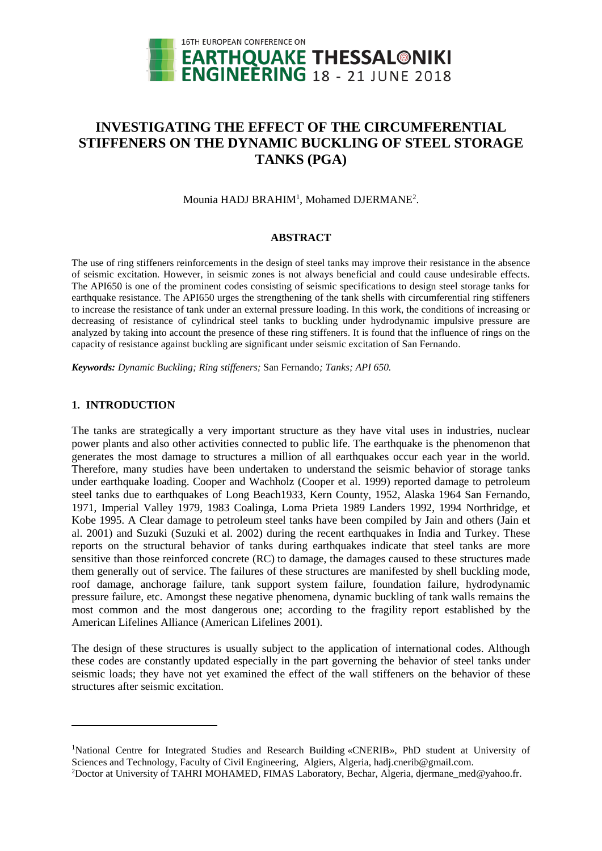

# **INVESTIGATING THE EFFECT OF THE CIRCUMFERENTIAL STIFFENERS ON THE DYNAMIC BUCKLING OF STEEL STORAGE TANKS (PGA)**

Mounia HADJ BRAHIM<sup>1</sup>, Mohamed DJERMANE<sup>2</sup>.

### **ABSTRACT**

The use of ring stiffeners reinforcements in the design of steel tanks may improve their resistance in the absence of seismic excitation. However, in seismic zones is not always beneficial and could cause undesirable effects. The API650 is one of the prominent codes consisting of seismic specifications to design steel storage tanks for earthquake resistance. The API650 urges the strengthening of the tank shells with circumferential ring stiffeners to increase the resistance of tank under an external pressure loading. In this work, the conditions of increasing or decreasing of resistance of cylindrical steel tanks to buckling under hydrodynamic impulsive pressure are analyzed by taking into account the presence of these ring stiffeners. It is found that the influence of rings on the capacity of resistance against buckling are significant under seismic excitation of San Fernando.

*Keywords: Dynamic Buckling; Ring stiffeners;* San Fernando*; Tanks; API 650.* 

## **1. INTRODUCTION**

l

The tanks are strategically a very important structure as they have vital uses in industries, nuclear power plants and also other activities connected to public life. The earthquake is the phenomenon that generates the most damage to structures a million of all earthquakes occur each year in the world. Therefore, many studies have been undertaken to understand the seismic behavior of storage tanks under earthquake loading. Cooper and Wachholz (Cooper et al. 1999) reported damage to petroleum steel tanks due to earthquakes of Long Beach1933, Kern County, 1952, Alaska 1964 San Fernando, 1971, Imperial Valley 1979, 1983 Coalinga, Loma Prieta 1989 Landers 1992, 1994 Northridge, et Kobe 1995. A Clear damage to petroleum steel tanks have been compiled by Jain and others (Jain et al. 2001) and Suzuki (Suzuki et al. 2002) during the recent earthquakes in India and Turkey. These reports on the structural behavior of tanks during earthquakes indicate that steel tanks are more sensitive than those reinforced concrete (RC) to damage, the damages caused to these structures made them generally out of service. The failures of these structures are manifested by shell buckling mode, roof damage, anchorage failure, tank support system failure, foundation failure, hydrodynamic pressure failure, etc. Amongst these negative phenomena, dynamic buckling of tank walls remains the most common and the most dangerous one; according to the fragility report established by the American Lifelines Alliance (American Lifelines 2001).

The design of these structures is usually subject to the application of international codes. Although these codes are constantly updated especially in the part governing the behavior of steel tanks under seismic loads; they have not yet examined the effect of the wall stiffeners on the behavior of these structures after seismic excitation.

<sup>1</sup>National Centre for Integrated Studies and Research Building «CNERIB», PhD student at University of Sciences and Technology, Faculty of Civil Engineering, Algiers, Algeria, hadj.cnerib@gmail.com.

<sup>2</sup>Doctor at University of TAHRI MOHAMED, FIMAS Laboratory, Bechar, Algeria, djermane\_med@yahoo.fr.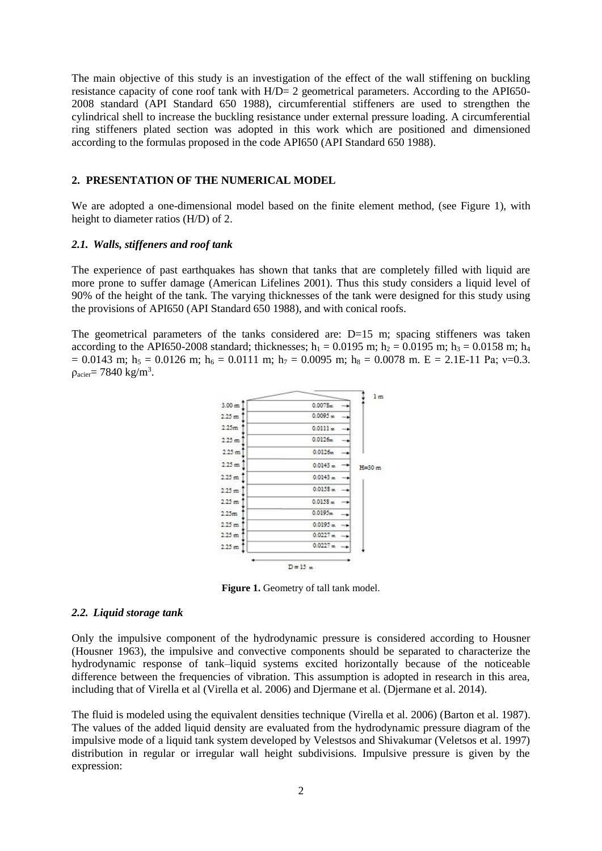The main objective of this study is an investigation of the effect of the wall stiffening on buckling resistance capacity of cone roof tank with H/D= 2 geometrical parameters. According to the API650- 2008 standard (API Standard 650 1988), circumferential stiffeners are used to strengthen the cylindrical shell to increase the buckling resistance under external pressure loading. A circumferential ring stiffeners plated section was adopted in this work which are positioned and dimensioned according to the formulas proposed in the code API650 (API Standard 650 1988).

#### **2. PRESENTATION OF THE NUMERICAL MODEL**

We are adopted a one-dimensional model based on the finite element method, (see Figure 1), with height to diameter ratios (H/D) of 2.

#### *2.1. Walls, stiffeners and roof tank*

The experience of past earthquakes has shown that tanks that are completely filled with liquid are more prone to suffer damage (American Lifelines 2001). Thus this study considers a liquid level of 90% of the height of the tank. The varying thicknesses of the tank were designed for this study using the provisions of API650 (API Standard 650 1988), and with conical roofs.

The geometrical parameters of the tanks considered are:  $D=15$  m; spacing stiffeners was taken according to the API650-2008 standard; thicknesses;  $h_1 = 0.0195$  m;  $h_2 = 0.0195$  m;  $h_3 = 0.0158$  m;  $h_4$  $= 0.0143$  m; h<sub>5</sub> = 0.0126 m; h<sub>6</sub> = 0.0111 m; h<sub>7</sub> = 0.0095 m; h<sub>8</sub> = 0.0078 m. E = 2.1E-11 Pa;  $v=0.3$ .  $\rho_{\text{acier}}$ = 7840 kg/m<sup>3</sup>.



**Figure 1.** Geometry of tall tank model.

#### *2.2. Liquid storage tank*

Only the impulsive component of the hydrodynamic pressure is considered according to Housner (Housner 1963), the impulsive and convective components should be separated to characterize the hydrodynamic response of tank–liquid systems excited horizontally because of the noticeable difference between the frequencies of vibration. This assumption is adopted in research in this area, including that of Virella et al (Virella et al. 2006) and Djermane et al. (Djermane et al. 2014).

The fluid is modeled using the equivalent densities technique (Virella et al. 2006) (Barton et al. 1987). The values of the added liquid density are evaluated from the hydrodynamic pressure diagram of the impulsive mode of a liquid tank system developed by Velestsos and Shivakumar (Veletsos et al. 1997) distribution in regular or irregular wall height subdivisions. Impulsive pressure is given by the expression: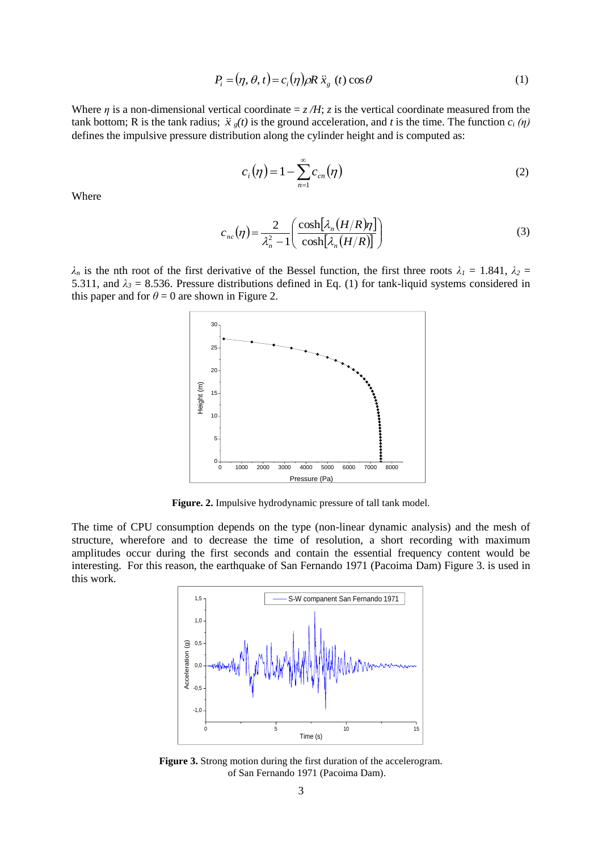$$
P_i = (\eta, \theta, t) = c_i(\eta)\rho R \ddot{x}_g(t) \cos \theta \tag{1}
$$

Where *η* is a non-dimensional vertical coordinate  $= z/H$ ; *z* is the vertical coordinate measured from the tank bottom; R is the tank radius;  $\ddot{x}$   $_{g}(t)$  is the ground acceleration, and t is the time. The function  $c_i(\eta)$ defines the impulsive pressure distribution along the cylinder height and is computed as:

$$
c_i(\eta) = 1 - \sum_{n=1}^{\infty} c_{cn}(\eta)
$$
 (2)

Where

$$
c_{nc}(\eta) = \frac{2}{\lambda_n^2 - 1} \left( \frac{\cosh[\lambda_n(H/R)\eta]}{\cosh[\lambda_n(H/R)]} \right)
$$
(3)

*λ*<sub>*n*</sub> is the nth root of the first derivative of the Bessel function, the first three roots  $λ<sub>I</sub> = 1.841$ ,  $λ<sub>2</sub> =$ 5.311, and  $\lambda_3$  = 8.536. Pressure distributions defined in Eq. (1) for tank-liquid systems considered in this paper and for  $\theta = 0$  are shown in Figure 2.



Figure. 2. Impulsive hydrodynamic pressure of tall tank model.

The time of CPU consumption depends on the type (non-linear dynamic analysis) and the mesh of structure, wherefore and to decrease the time of resolution, a short recording with maximum amplitudes occur during the first seconds and contain the essential frequency content would be interesting. For this reason, the earthquake of San Fernando 1971 (Pacoima Dam) Figure 3. is used in this work.



**Figure 3.** Strong motion during the first duration of the accelerogram. of San Fernando 1971 (Pacoima Dam).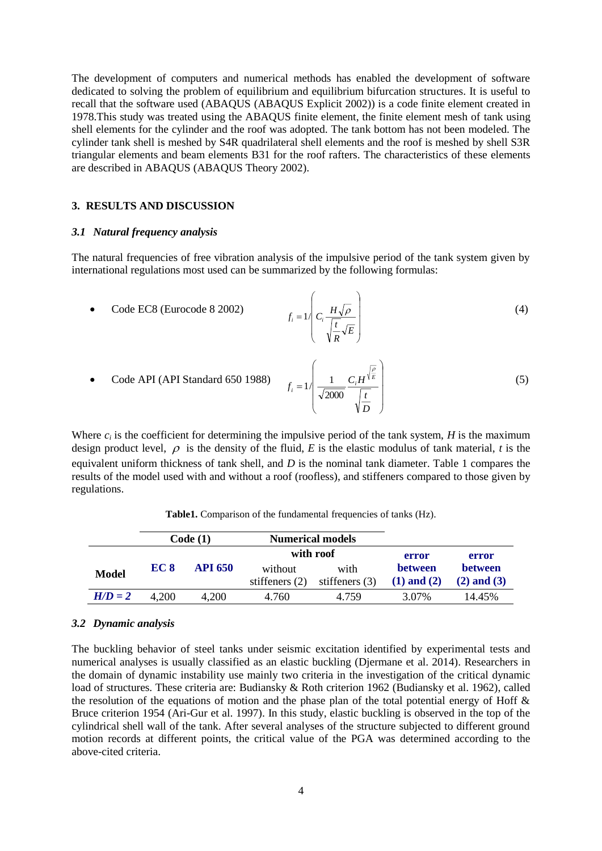The development of computers and numerical methods has enabled the development of software dedicated to solving the problem of equilibrium and equilibrium bifurcation structures. It is useful to recall that the software used (ABAQUS (ABAQUS Explicit 2002)) is a code finite element created in 1978.This study was treated using the ABAQUS finite element, the finite element mesh of tank using shell elements for the cylinder and the roof was adopted. The tank bottom has not been modeled. The cylinder tank shell is meshed by S4R quadrilateral shell elements and the roof is meshed by shell S3R triangular elements and beam elements B31 for the roof rafters. The characteristics of these elements are described in ABAQUS (ABAQUS Theory 2002).

## **3. RESULTS AND DISCUSSION**

### *3.1 Natural frequency analysis*

The natural frequencies of free vibration analysis of the impulsive period of the tank system given by international regulations most used can be summarized by the following formulas:

• Code EC8 (European 8 2002) 
$$
f_i = 1 \left( C_i \frac{H \sqrt{\rho}}{\sqrt{\frac{t}{R}} \sqrt{E}} \right)
$$
 (4)

• Code API (API Standard 650 1988) 
$$
f_i = 1 \left( \frac{1}{\sqrt{2000}} \frac{C_i H^{\sqrt{\frac{p}{E}}}}{\sqrt{\frac{t}{D}}} \right)
$$
 (5)

Where  $c_i$  is the coefficient for determining the impulsive period of the tank system, *H* is the maximum design product level,  $\rho$  is the density of the fluid, *E* is the elastic modulus of tank material, *t* is the equivalent uniform thickness of tank shell, and *D* is the nominal tank diameter. Table 1 compares the results of the model used with and without a roof (roofless), and stiffeners compared to those given by regulations.

|              | Code(1) |                | <b>Numerical models</b> |                  |                 |                 |
|--------------|---------|----------------|-------------------------|------------------|-----------------|-----------------|
|              |         |                |                         | with roof        | error           | error           |
| <b>Model</b> | EC 8    | <b>API 650</b> | without                 | with             | <b>between</b>  | <b>between</b>  |
|              |         |                | stiffeners $(2)$        | stiffeners $(3)$ | $(1)$ and $(2)$ | $(2)$ and $(3)$ |
| $H/D = 2$    | 4.200   | 4,200          | 4.760                   | 4.759            | 3.07%           | 14.45%          |

**Table1.** Comparison of the fundamental frequencies of tanks (Hz).

#### *3.2 Dynamic analysis*

The buckling behavior of steel tanks under seismic excitation identified by experimental tests and numerical analyses is usually classified as an elastic buckling (Djermane et al. 2014). Researchers in the domain of dynamic instability use mainly two criteria in the investigation of the critical dynamic load of structures. These criteria are: Budiansky & Roth criterion 1962 (Budiansky et al. 1962), called the resolution of the equations of motion and the phase plan of the total potential energy of Hoff  $\&$ Bruce criterion 1954 (Ari-Gur et al. 1997). In this study, elastic buckling is observed in the top of the cylindrical shell wall of the tank. After several analyses of the structure subjected to different ground motion records at different points, the critical value of the PGA was determined according to the above-cited criteria.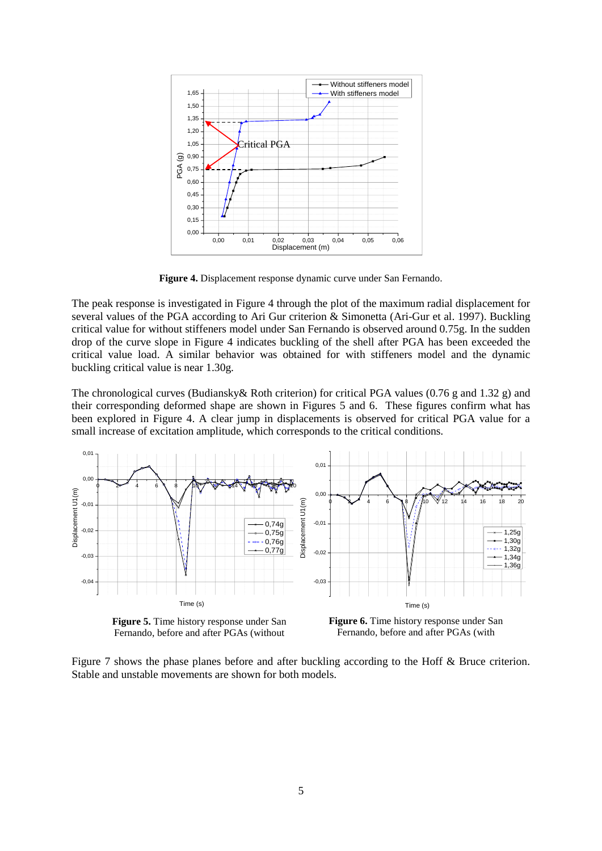

**Figure 4.** Displacement response dynamic curve under San Fernando.

The peak response is investigated in Figure 4 through the plot of the maximum radial displacement for several values of the PGA according to Ari Gur criterion & Simonetta (Ari-Gur et al. 1997). Buckling critical value for without stiffeners model under San Fernando is observed around 0.75g. In the sudden drop of the curve slope in Figure 4 indicates buckling of the shell after PGA has been exceeded the critical value load. A similar behavior was obtained for with stiffeners model and the dynamic buckling critical value is near 1.30g.

The chronological curves (Budiansky& Roth criterion) for critical PGA values (0.76 g and 1.32 g) and their corresponding deformed shape are shown in Figures 5 and 6. These figures confirm what has been explored in Figure 4. A clear jump in displacements is observed for critical PGA value for a small increase of excitation amplitude, which corresponds to the critical conditions.



**Figure 5.** Time history response under San Fernando, before and after PGAs (without

**Figure 6.** Time history response under San Fernando, before and after PGAs (with

Figure 7 shows the phase planes before and after buckling according to the Hoff & Bruce criterion. Stable and unstable movements are shown for both models.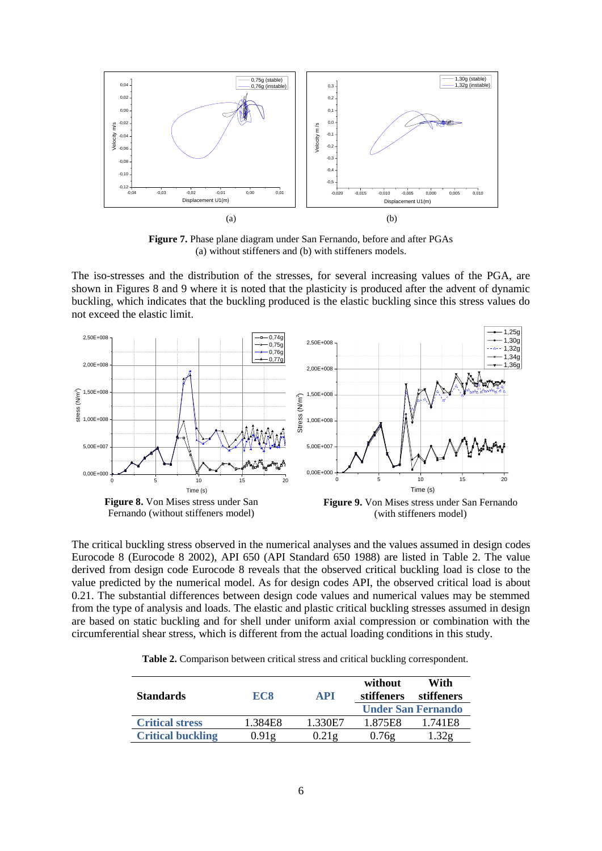

**Figure 7.** Phase plane diagram under San Fernando, before and after PGAs (a) without stiffeners and (b) with stiffeners models.

The iso-stresses and the distribution of the stresses, for several increasing values of the PGA, are shown in Figures 8 and 9 where it is noted that the plasticity is produced after the advent of dynamic buckling, which indicates that the buckling produced is the elastic buckling since this stress values do not exceed the elastic limit.



The critical buckling stress observed in the numerical analyses and the values assumed in design codes Eurocode 8 (Eurocode 8 2002), API 650 (API Standard 650 1988) are listed in Table 2. The value derived from design code Eurocode 8 reveals that the observed critical buckling load is close to the value predicted by the numerical model. As for design codes API, the observed critical load is about 0.21. The substantial differences between design code values and numerical values may be stemmed from the type of analysis and loads. The elastic and plastic critical buckling stresses assumed in design are based on static buckling and for shell under uniform axial compression or combination with the circumferential shear stress, which is different from the actual loading conditions in this study.

 **Table 2.** Comparison between critical stress and critical buckling correspondent.

| <b>Standards</b>         | EC <sub>8</sub> | <b>API</b> | without<br>stiffeners | With<br>stiffeners        |
|--------------------------|-----------------|------------|-----------------------|---------------------------|
|                          |                 |            |                       | <b>Under San Fernando</b> |
| <b>Critical stress</b>   | 1.384E8         | 1.330E7    | 1.875E8               | 1.741E8                   |
| <b>Critical buckling</b> | 0.91g           | 0.21g      | 0.76g                 |                           |